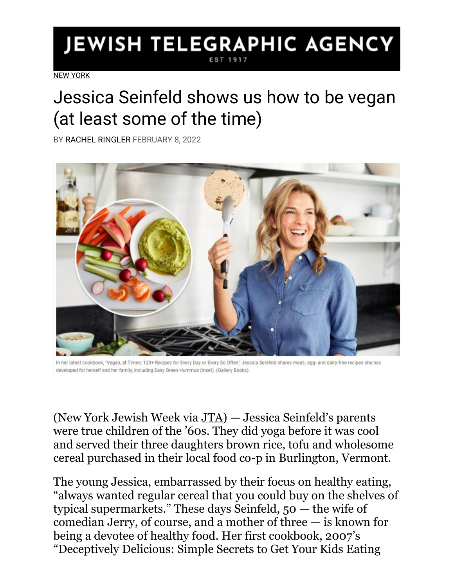## JEWISH TELEGRAPHIC AGENCY EST 1917

[NEW YORK](https://www.jta.org/category/ny)

## Jessica Seinfeld shows us how to be vegan (at least some of the time)

BY [RACHEL RINGLER](https://www.jta.org/author/rachel-ringler) FEBRUARY 8, 2022



In her latest cookbook, "Vegan, at Times: 120+ Recipes for Every Day or Every So Often," Jessica Seinfeld shares meat-, egg- and dairy-free recipes she has developed for herself and her family, including Easy Green Hummus (inset). (Gallery Books)

(New York Jewish Week via [JTA\)](https://www.jta.org/) — Jessica Seinfeld's parents were true children of the '60s. They did yoga before it was cool and served their three daughters brown rice, tofu and wholesome cereal purchased in their local food co-p in Burlington, Vermont.

The young Jessica, embarrassed by their focus on healthy eating, "always wanted regular cereal that you could buy on the shelves of typical supermarkets." These days Seinfeld, 50 — the wife of comedian Jerry, of course, and a mother of three — is known for being a devotee of healthy food. Her first cookbook, 2007's "Deceptively Delicious: Simple Secrets to Get Your Kids Eating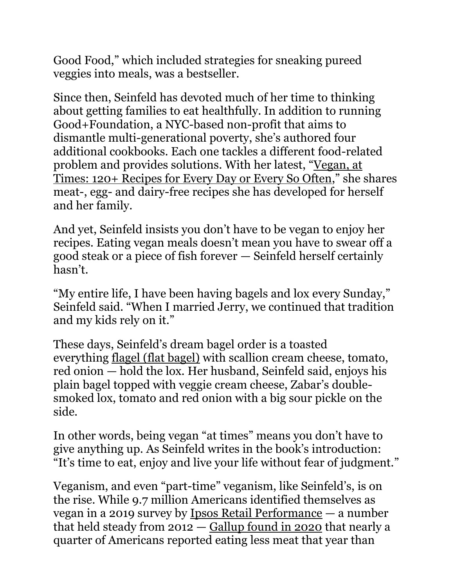Good Food," which included strategies for sneaking pureed veggies into meals, was a bestseller.

Since then, Seinfeld has devoted much of her time to thinking about getting families to eat healthfully. In addition to running Good+Foundation, a NYC-based non-profit that aims to dismantle multi-generational poverty, she's authored four additional cookbooks. Each one tackles a different food-related problem and provides solutions. With her latest, "[Vegan, at](https://jessicaseinfeld.com/cookbooks/vegan-at-times)  Times: [120+ Recipes for Every Day or Every So Often](https://jessicaseinfeld.com/cookbooks/vegan-at-times)," she shares meat-, egg- and dairy-free recipes she has developed for herself and her family.

And yet, Seinfeld insists you don't have to be vegan to enjoy her recipes. Eating vegan meals doesn't mean you have to swear off a good steak or a piece of fish forever — Seinfeld herself certainly hasn't.

"My entire life, I have been having bagels and lox every Sunday," Seinfeld said. "When I married Jerry, we continued that tradition and my kids rely on it."

These days, Seinfeld's dream bagel order is a toasted everything [flagel \(flat bagel\)](https://www.myjewishlearning.com/the-nosher/are-flagels-really-better-than-bagels/) with scallion cream cheese, tomato, red onion — hold the lox. Her husband, Seinfeld said, enjoys his plain bagel topped with veggie cream cheese, Zabar's doublesmoked lox, tomato and red onion with a big sour pickle on the side.

In other words, being vegan "at times" means you don't have to give anything up. As Seinfeld writes in the book's introduction: "It's time to eat, enjoy and live your life without fear of judgment."

Veganism, and even "part-time" veganism, like Seinfeld's, is on the rise. While 9.7 million Americans identified themselves as vegan in a 2019 survey by Ipsos Retail [Performance](https://www.ipsos-retailperformance.com/en/vegan-trends/) — a number that held steady from 2012 — [Gallup found in 2020](https://news.gallup.com/poll/282779/nearly-one-four-cut-back-eating-meat.aspx) that nearly a quarter of Americans reported eating less meat that year than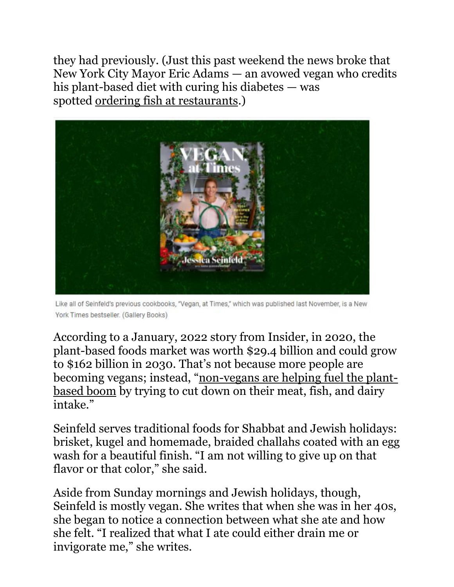they had previously. (Just this past weekend the news broke that New York City Mayor Eric Adams — an avowed vegan who credits his plant-based diet with curing his diabetes — was spotted [ordering fish at restaurants.](https://www.politico.com/newsletters/new-york-playbook/2022/02/07/adams-holds-court-and-orders-the-fish-00006118))



Like all of Seinfeld's previous cookbooks, "Vegan, at Times," which was published last November, is a New York Times bestseller. (Gallery Books)

According to a January, 2022 story from Insider, in 2020, the plant-based foods market was worth \$29.4 billion and could grow to \$162 billion in 2030. That's not because more people are becoming vegans; instead, "[non-vegans are helping fuel the plant](https://www.businessinsider.com/fast-food-chains-are-finally-taking-vegan-food-seriously-2022-1)[based boom](https://www.businessinsider.com/fast-food-chains-are-finally-taking-vegan-food-seriously-2022-1) by trying to cut down on their meat, fish, and dairy intake."

Seinfeld serves traditional foods for Shabbat and Jewish holidays: brisket, kugel and homemade, braided challahs coated with an egg wash for a beautiful finish. "I am not willing to give up on that flavor or that color," she said.

Aside from Sunday mornings and Jewish holidays, though, Seinfeld is mostly vegan. She writes that when she was in her 40s, she began to notice a connection between what she ate and how she felt. "I realized that what I ate could either drain me or invigorate me," she writes.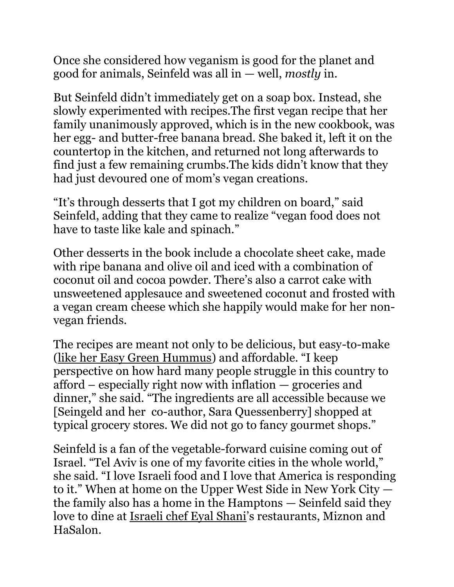Once she considered how veganism is good for the planet and good for animals, Seinfeld was all in — well, *mostly* in.

But Seinfeld didn't immediately get on a soap box. Instead, she slowly experimented with recipes.The first vegan recipe that her family unanimously approved, which is in the new cookbook, was her egg- and butter-free banana bread. She baked it, left it on the countertop in the kitchen, and returned not long afterwards to find just a few remaining crumbs.The kids didn't know that they had just devoured one of mom's vegan creations.

"It's through desserts that I got my children on board," said Seinfeld, adding that they came to realize "vegan food does not have to taste like kale and spinach."

Other desserts in the book include a chocolate sheet cake, made with ripe banana and olive oil and iced with a combination of coconut oil and cocoa powder. There's also a carrot cake with unsweetened applesauce and sweetened coconut and frosted with a vegan cream cheese which she happily would make for her nonvegan friends.

The recipes are meant not only to be delicious, but easy-to-make [\(like her Easy Green Hummus](https://www.myjewishlearning.com/the-nosher/try-jessica-seinfelds-easy-green-hummus-recipe/)) and affordable. "I keep perspective on how hard many people struggle in this country to afford – especially right now with inflation — groceries and dinner," she said. "The ingredients are all accessible because we [Seingeld and her co-author, Sara Quessenberry] shopped at typical grocery stores. We did not go to fancy gourmet shops."

Seinfeld is a fan of the vegetable-forward cuisine coming out of Israel. "Tel Aviv is one of my favorite cities in the whole world," she said. "I love Israeli food and I love that America is responding to it." When at home on the Upper West Side in New York City the family also has a home in the Hamptons — Seinfeld said they love to dine at [Israeli chef Eyal Shani](https://www.jta.org/quick-reads/celebrity-israeli-chef-eyal-shani-raps-to-help-feed-schoolchildren)'s restaurants, Miznon and HaSalon.